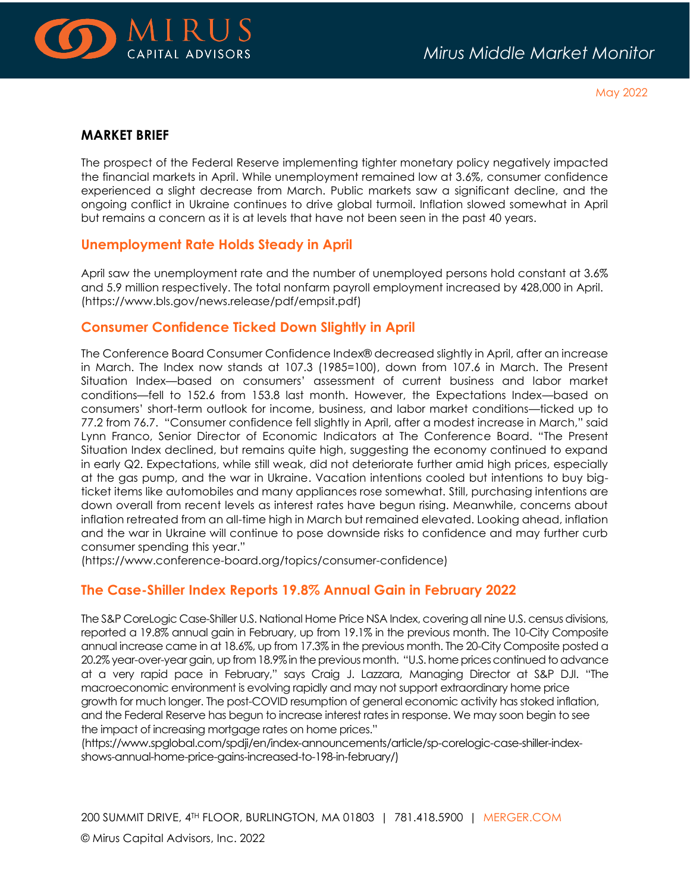

May 2022

### **MARKET BRIEF**

The prospect of the Federal Reserve implementing tighter monetary policy negatively impacted the financial markets in April. While unemployment remained low at 3.6%, consumer confidence experienced a slight decrease from March. Public markets saw a significant decline, and the ongoing conflict in Ukraine continues to drive global turmoil. Inflation slowed somewhat in April but remains a concern as it is at levels that have not been seen in the past 40 years.

### **Unemployment Rate Holds Steady in April**

April saw the unemployment rate and the number of unemployed persons hold constant at 3.6% and 5.9 million respectively. The total nonfarm payroll employment increased by 428,000 in April. (https://www.bls.gov/news.release/pdf/empsit.pdf)

## **Consumer Confidence Ticked Down Slightly in April**

The Conference Board Consumer Confidence Index® decreased slightly in April, after an increase in March. The Index now stands at 107.3 (1985=100), down from 107.6 in March. The Present Situation Index—based on consumers' assessment of current business and labor market conditions—fell to 152.6 from 153.8 last month. However, the Expectations Index—based on consumers' short-term outlook for income, business, and labor market conditions—ticked up to 77.2 from 76.7. "Consumer confidence fell slightly in April, after a modest increase in March," said Lynn Franco, Senior Director of Economic Indicators at The Conference Board. "The Present Situation Index declined, but remains quite high, suggesting the economy continued to expand in early Q2. Expectations, while still weak, did not deteriorate further amid high prices, especially at the gas pump, and the war in Ukraine. Vacation intentions cooled but intentions to buy bigticket items like automobiles and many appliances rose somewhat. Still, purchasing intentions are down overall from recent levels as interest rates have begun rising. Meanwhile, concerns about inflation retreated from an all-time high in March but remained elevated. Looking ahead, inflation and the war in Ukraine will continue to pose downside risks to confidence and may further curb consumer spending this year."

(https://www.conference-board.org/topics/consumer-confidence)

## **The Case-Shiller Index Reports 19.8% Annual Gain in February 2022**

The S&P CoreLogic Case-Shiller U.S. National Home Price NSA Index, covering all nine U.S. census divisions, reported a 19.8% annual gain in February, up from 19.1% in the previous month. The 10-City Composite annual increase came in at 18.6%, up from 17.3% in the previous month. The 20-City Composite posted a 20.2% year-over-year gain, up from 18.9% in the previous month. "U.S. home prices continued to advance at a very rapid pace in February," says Craig J. Lazzara, Managing Director at S&P DJI. "The macroeconomic environment is evolving rapidly and may not support extraordinary home price growth for much longer. The post-COVID resumption of general economic activity has stoked inflation, and the Federal Reserve has begun to increase interest rates in response. We may soon begin to see the impact of increasing mortgage rates on home prices."

[\(https://www.spglobal.com/spdji/en/index-announcements/article/sp-corelogic-case-shiller-index](https://www.spglobal.com/spdji/en/index-announcements/article/sp-corelogic-case-shiller-index-shows-annual-home-price-gains-increased-to-198-in-february/)[shows-annual-home-price-gains-increased-to-198-in-february/\)](https://www.spglobal.com/spdji/en/index-announcements/article/sp-corelogic-case-shiller-index-shows-annual-home-price-gains-increased-to-198-in-february/)

200 SUMMIT DRIVE, 4TH FLOOR, BURLINGTON, MA 01803 | 781.418.5900 | [MERGER.COM](http://www.merger.com/)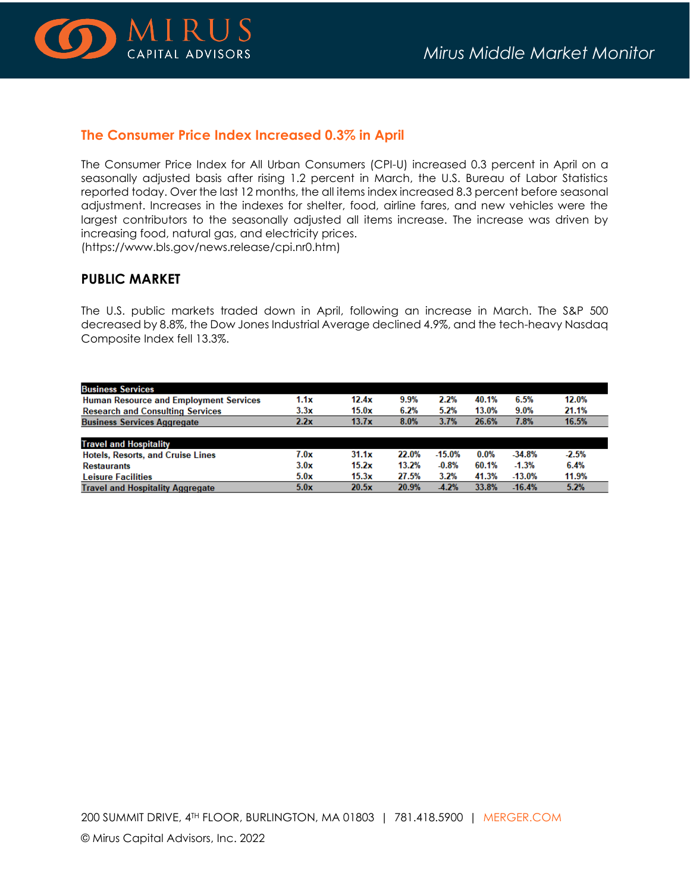

#### **The Consumer Price Index Increased 0.3% in April**

The Consumer Price Index for All Urban Consumers (CPI-U) increased 0.3 percent in April on a seasonally adjusted basis after rising 1.2 percent in March, the U.S. Bureau of Labor Statistics reported today. Over the last 12 months, the all items index increased 8.3 percent before seasonal adjustment. Increases in the indexes for shelter, food, airline fares, and new vehicles were the largest contributors to the seasonally adjusted all items increase. The increase was driven by increasing food, natural gas, and electricity prices.

(https://www.bls.gov/news.release/cpi.nr0.htm)

## **PUBLIC MARKET**

The U.S. public markets traded down in April, following an increase in March. The S&P 500 decreased by 8.8%, the Dow Jones Industrial Average declined 4.9%, and the tech-heavy Nasdaq Composite Index fell 13.3%.

| <b>Business Services</b>                      |      |       |       |          |         |          |         |
|-----------------------------------------------|------|-------|-------|----------|---------|----------|---------|
| <b>Human Resource and Employment Services</b> | 1.1x | 12.4x | 9.9%  | 2.2%     | 40.1%   | 6.5%     | 12.0%   |
| <b>Research and Consulting Services</b>       | 3.3x | 15.0x | 6.2%  | 5.2%     | 13.0%   | 9.0%     | 21.1%   |
| <b>Business Services Aggregate</b>            | 2.2x | 13.7x | 8.0%  | 3.7%     | 26.6%   | 7.8%     | 16.5%   |
|                                               |      |       |       |          |         |          |         |
| <b>Travel and Hospitality</b>                 |      |       |       |          |         |          |         |
| <b>Hotels, Resorts, and Cruise Lines</b>      | 7.0x | 31.1x | 22.0% | $-15.0%$ | $0.0\%$ | $-34.8%$ | $-2.5%$ |
| <b>Restaurants</b>                            | 3.0x | 15.2x | 13.2% | $-0.8%$  | 60.1%   | $-1.3%$  | 6.4%    |
| <b>Leisure Facilities</b>                     | 5.0x | 15.3x | 27.5% | 3.2%     | 41.3%   | $-13.0%$ | 11.9%   |
| <b>Travel and Hospitality Aggregate</b>       | 5.0x | 20.5x | 20.9% | $-4.2%$  | 33.8%   | $-16.4%$ | 5.2%    |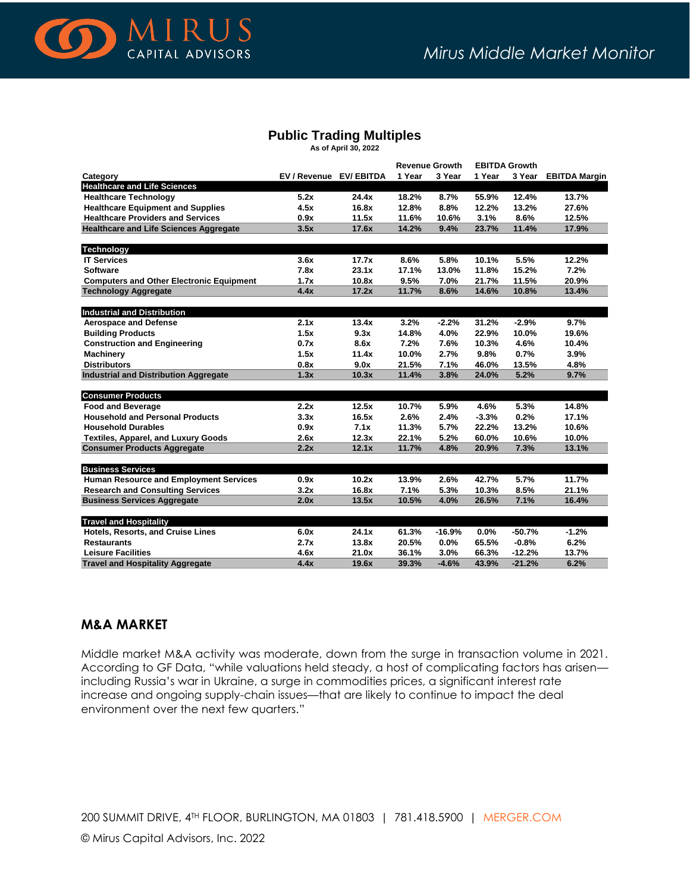

## **Public Trading Multiples**

**As of April 30, 2022**

|                                                 |                         |       | <b>Revenue Growth</b> |          | <b>EBITDA Growth</b> |          |                      |  |
|-------------------------------------------------|-------------------------|-------|-----------------------|----------|----------------------|----------|----------------------|--|
| Category                                        | EV / Revenue EV/ EBITDA |       | 1 Year                | 3 Year   | 1 Year               | 3 Year   | <b>EBITDA Margin</b> |  |
| <b>Healthcare and Life Sciences</b>             |                         |       |                       |          |                      |          |                      |  |
| <b>Healthcare Technology</b>                    | 5.2x                    | 24.4x | 18.2%                 | 8.7%     | 55.9%                | 12.4%    | 13.7%                |  |
| <b>Healthcare Equipment and Supplies</b>        | 4.5x                    | 16.8x | 12.8%                 | 8.8%     | 12.2%                | 13.2%    | 27.6%                |  |
| <b>Healthcare Providers and Services</b>        | 0.9x                    | 11.5x | 11.6%                 | 10.6%    | 3.1%                 | 8.6%     | 12.5%                |  |
| <b>Healthcare and Life Sciences Aggregate</b>   | 3.5x                    | 17.6x | 14.2%                 | 9.4%     | 23.7%                | 11.4%    | 17.9%                |  |
| <b>Technology</b>                               |                         |       |                       |          |                      |          |                      |  |
| <b>IT Services</b>                              | 3.6x                    | 17.7x | 8.6%                  | 5.8%     | 10.1%                | 5.5%     | 12.2%                |  |
| <b>Software</b>                                 | 7.8x                    | 23.1x | 17.1%                 | 13.0%    | 11.8%                | 15.2%    | 7.2%                 |  |
| <b>Computers and Other Electronic Equipment</b> | 1.7x                    | 10.8x | 9.5%                  | 7.0%     | 21.7%                | 11.5%    | 20.9%                |  |
| <b>Technology Aggregate</b>                     | 4.4x                    | 17.2x | 11.7%                 | 8.6%     | 14.6%                | 10.8%    | 13.4%                |  |
|                                                 |                         |       |                       |          |                      |          |                      |  |
| <b>Industrial and Distribution</b>              |                         |       |                       |          |                      |          |                      |  |
| <b>Aerospace and Defense</b>                    | 2.1x                    | 13.4x | 3.2%                  | $-2.2%$  | 31.2%                | $-2.9%$  | 9.7%                 |  |
| <b>Building Products</b>                        | 1.5x                    | 9.3x  | 14.8%                 | 4.0%     | 22.9%                | 10.0%    | 19.6%                |  |
| <b>Construction and Engineering</b>             | 0.7x                    | 8.6x  | 7.2%                  | 7.6%     | 10.3%                | 4.6%     | 10.4%                |  |
| <b>Machinery</b>                                | 1.5x                    | 11.4x | 10.0%                 | 2.7%     | 9.8%                 | 0.7%     | 3.9%                 |  |
| <b>Distributors</b>                             | 0.8x                    | 9.0x  | 21.5%                 | 7.1%     | 46.0%                | 13.5%    | 4.8%                 |  |
| <b>Industrial and Distribution Aggregate</b>    | 1.3x                    | 10.3x | 11.4%                 | 3.8%     | 24.0%                | 5.2%     | 9.7%                 |  |
| <b>Consumer Products</b>                        |                         |       |                       |          |                      |          |                      |  |
| <b>Food and Beverage</b>                        | 2.2x                    | 12.5x | 10.7%                 | 5.9%     | 4.6%                 | 5.3%     | 14.8%                |  |
| <b>Household and Personal Products</b>          | 3.3x                    | 16.5x | 2.6%                  | 2.4%     | $-3.3%$              | 0.2%     | 17.1%                |  |
| <b>Household Durables</b>                       | 0.9x                    | 7.1x  | 11.3%                 | 5.7%     | 22.2%                | 13.2%    | 10.6%                |  |
| <b>Textiles, Apparel, and Luxury Goods</b>      | 2.6x                    | 12.3x | 22.1%                 | 5.2%     | 60.0%                | 10.6%    | 10.0%                |  |
| <b>Consumer Products Aggregate</b>              | 2.2x                    | 12.1x | 11.7%                 | 4.8%     | 20.9%                | 7.3%     | 13.1%                |  |
| <b>Business Services</b>                        |                         |       |                       |          |                      |          |                      |  |
| <b>Human Resource and Employment Services</b>   | 0.9x                    | 10.2x | 13.9%                 | 2.6%     | 42.7%                | 5.7%     | 11.7%                |  |
| <b>Research and Consulting Services</b>         | 3.2x                    | 16.8x | 7.1%                  | 5.3%     | 10.3%                | 8.5%     | 21.1%                |  |
| <b>Business Services Aggregate</b>              | 2.0x                    | 13.5x | 10.5%                 | 4.0%     | 26.5%                | 7.1%     | 16.4%                |  |
|                                                 |                         |       |                       |          |                      |          |                      |  |
| <b>Travel and Hospitality</b>                   |                         |       |                       |          |                      |          |                      |  |
| Hotels, Resorts, and Cruise Lines               | 6.0x                    | 24.1x | 61.3%                 | $-16.9%$ | 0.0%                 | $-50.7%$ | $-1.2%$              |  |
| <b>Restaurants</b>                              | 2.7x                    | 13.8x | 20.5%                 | 0.0%     | 65.5%                | $-0.8%$  | 6.2%                 |  |
| <b>Leisure Facilities</b>                       | 4.6x                    | 21.0x | 36.1%                 | 3.0%     | 66.3%                | $-12.2%$ | 13.7%                |  |
| <b>Travel and Hospitality Aggregate</b>         | 4.4x                    | 19.6x | 39.3%                 | $-4.6%$  | 43.9%                | $-21.2%$ | 6.2%                 |  |

#### **M&A MARKET**

Middle market M&A activity was moderate, down from the surge in transaction volume in 2021. According to GF Data, "while valuations held steady, a host of complicating factors has arisen including Russia's war in Ukraine, a surge in commodities prices, a significant interest rate increase and ongoing supply-chain issues—that are likely to continue to impact the deal environment over the next few quarters."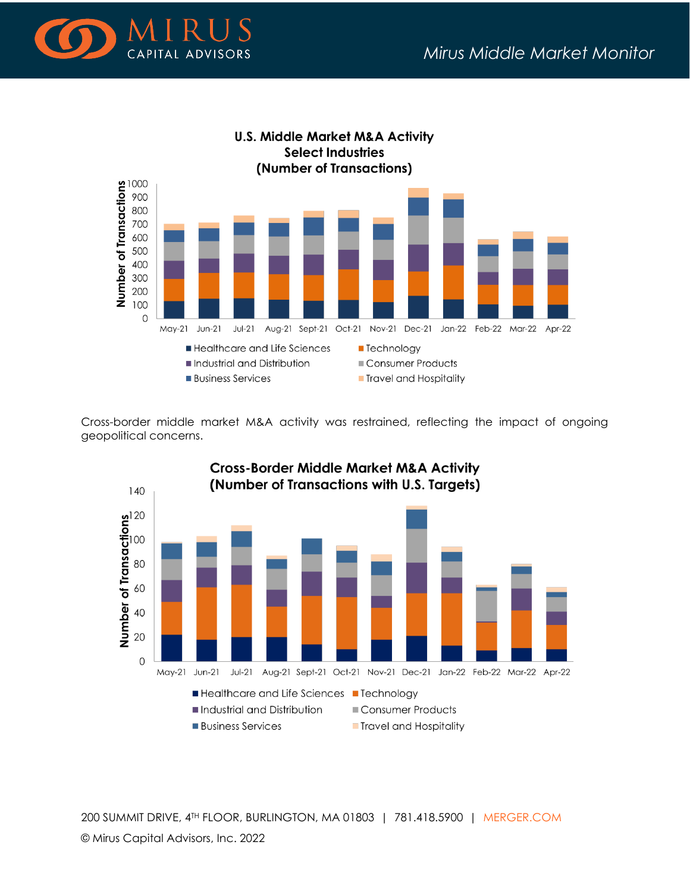



Cross-border middle market M&A activity was restrained, reflecting the impact of ongoing geopolitical concerns.



200 SUMMIT DRIVE, 4TH FLOOR, BURLINGTON, MA 01803 | 781.418.5900 | [MERGER.COM](http://www.merger.com/) © Mirus Capital Advisors, Inc. 2022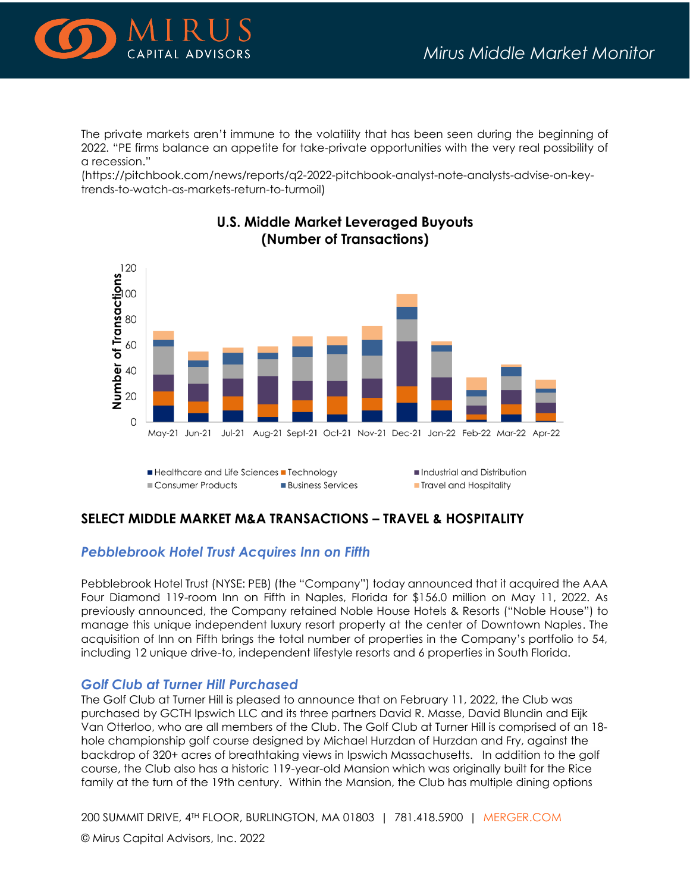

The private markets aren't immune to the volatility that has been seen during the beginning of 2022. "PE firms balance an appetite for take-private opportunities with the very real possibility of a recession."

(https://pitchbook.com/news/reports/q2-2022-pitchbook-analyst-note-analysts-advise-on-keytrends-to-watch-as-markets-return-to-turmoil)



# **U.S. Middle Market Leveraged Buyouts** (Number of Transactions)

## **SELECT MIDDLE MARKET M&A TRANSACTIONS – TRAVEL & HOSPITALITY**

## *Pebblebrook Hotel Trust Acquires Inn on Fifth*

Pebblebrook Hotel Trust (NYSE: PEB) (the "Company") today announced that it acquired the AAA Four Diamond 119-room Inn on Fifth in Naples, Florida for \$156.0 million on May 11, 2022. As previously announced, the Company retained Noble House Hotels & Resorts ("Noble House") to manage this unique independent luxury resort property at the center of Downtown Naples. The acquisition of Inn on Fifth brings the total number of properties in the Company's portfolio to 54, including 12 unique drive-to, independent lifestyle resorts and 6 properties in South Florida.

## *Golf Club at Turner Hill Purchased*

The Golf Club at Turner Hill is pleased to announce that on February 11, 2022, the Club was purchased by GCTH Ipswich LLC and its three partners David R. Masse, David Blundin and Eijk Van Otterloo, who are all members of the Club. The Golf Club at Turner Hill is comprised of an 18 hole championship golf course designed by Michael Hurzdan of Hurzdan and Fry, against the backdrop of 320+ acres of breathtaking views in Ipswich Massachusetts. In addition to the golf course, the Club also has a historic 119-year-old Mansion which was originally built for the Rice family at the turn of the 19th century. Within the Mansion, the Club has multiple dining options

200 SUMMIT DRIVE, 4TH FLOOR, BURLINGTON, MA 01803 | 781.418.5900 | [MERGER.COM](http://www.merger.com/)